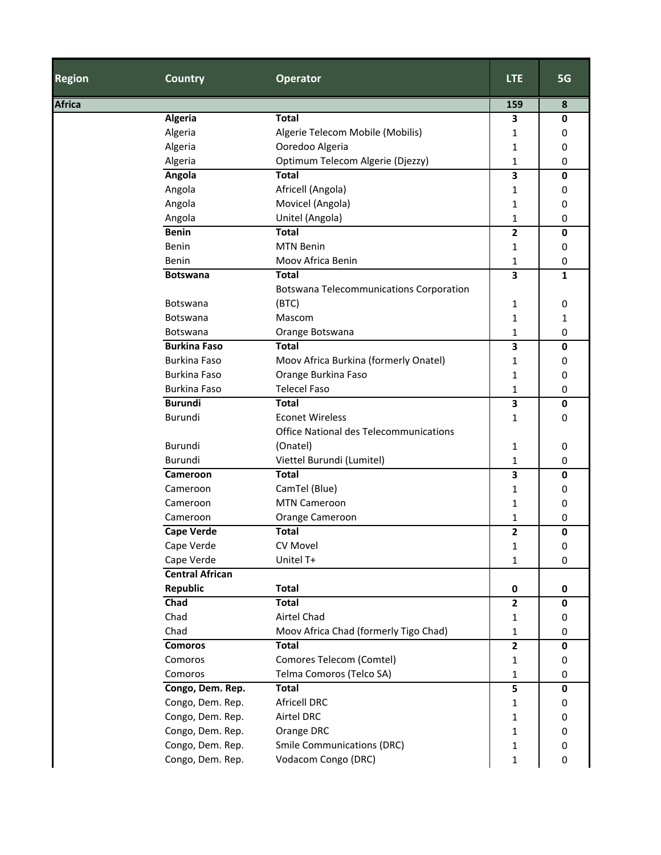| <b>Region</b> | <b>Country</b>         | <b>Operator</b>                                | <b>LTE</b>     | 5G          |
|---------------|------------------------|------------------------------------------------|----------------|-------------|
| <b>Africa</b> |                        |                                                | 159            | 8           |
|               | Algeria                | <b>Total</b>                                   | 3              | 0           |
|               | Algeria                | Algerie Telecom Mobile (Mobilis)               | 1              | 0           |
|               | Algeria                | Ooredoo Algeria                                | 1              | 0           |
|               | Algeria                | Optimum Telecom Algerie (Djezzy)               | 1              | 0           |
|               | Angola                 | <b>Total</b>                                   | 3              | 0           |
|               | Angola                 | Africell (Angola)                              | 1              | 0           |
|               | Angola                 | Movicel (Angola)                               | 1              | 0           |
|               | Angola                 | Unitel (Angola)                                | 1              | 0           |
|               | <b>Benin</b>           | <b>Total</b>                                   | $\overline{2}$ | $\mathbf 0$ |
|               | Benin                  | <b>MTN Benin</b>                               | 1              | 0           |
|               | Benin                  | Moov Africa Benin                              | 1              | 0           |
|               | <b>Botswana</b>        | <b>Total</b>                                   | 3              | 1           |
|               |                        | <b>Botswana Telecommunications Corporation</b> |                |             |
|               | Botswana               | (BTC)                                          | 1              | 0           |
|               | Botswana               | Mascom                                         | 1              | 1           |
|               | Botswana               | Orange Botswana                                | 1              | 0           |
|               | <b>Burkina Faso</b>    | <b>Total</b>                                   | 3              | 0           |
|               | <b>Burkina Faso</b>    | Moov Africa Burkina (formerly Onatel)          | 1              | 0           |
|               | <b>Burkina Faso</b>    | Orange Burkina Faso                            | 1              | 0           |
|               | <b>Burkina Faso</b>    | <b>Telecel Faso</b>                            | $\mathbf{1}$   | 0           |
|               | <b>Burundi</b>         | <b>Total</b>                                   | 3              | $\mathbf 0$ |
|               | Burundi                | <b>Econet Wireless</b>                         | 1              | 0           |
|               |                        | Office National des Telecommunications         |                |             |
|               | Burundi                | (Onatel)                                       | 1              | 0           |
|               | Burundi                | Viettel Burundi (Lumitel)                      | 1              | 0           |
|               | Cameroon               | <b>Total</b>                                   | 3              | 0           |
|               | Cameroon               | CamTel (Blue)                                  | 1              | 0           |
|               | Cameroon               | <b>MTN Cameroon</b>                            | 1              | 0           |
|               | Cameroon               | Orange Cameroon                                | 1              | 0           |
|               | <b>Cape Verde</b>      | <b>Total</b>                                   | 2              | 0           |
|               | Cape Verde             | CV Movel                                       | 1              | 0           |
|               | Cape Verde             | Unitel T+                                      | 1              | 0           |
|               | <b>Central African</b> |                                                |                |             |
|               | Republic               | <b>Total</b>                                   | 0              | 0           |
|               | Chad                   | <b>Total</b>                                   | $\mathbf{2}$   | $\mathbf 0$ |
|               | Chad                   | Airtel Chad                                    | 1              | 0           |
|               | Chad                   | Moov Africa Chad (formerly Tigo Chad)          | 1              | 0           |
|               | <b>Comoros</b>         | <b>Total</b>                                   | $\mathbf{2}$   | 0           |
|               | Comoros                | Comores Telecom (Comtel)                       | 1              | 0           |
|               | Comoros                | Telma Comoros (Telco SA)                       | 1              | 0           |
|               | Congo, Dem. Rep.       | <b>Total</b>                                   | 5              | 0           |
|               | Congo, Dem. Rep.       | <b>Africell DRC</b>                            | 1              | 0           |
|               | Congo, Dem. Rep.       | <b>Airtel DRC</b>                              | 1              | 0           |
|               | Congo, Dem. Rep.       | Orange DRC                                     | 1              | 0           |
|               | Congo, Dem. Rep.       | <b>Smile Communications (DRC)</b>              | 1              | 0           |
|               | Congo, Dem. Rep.       | Vodacom Congo (DRC)                            | 1              | 0           |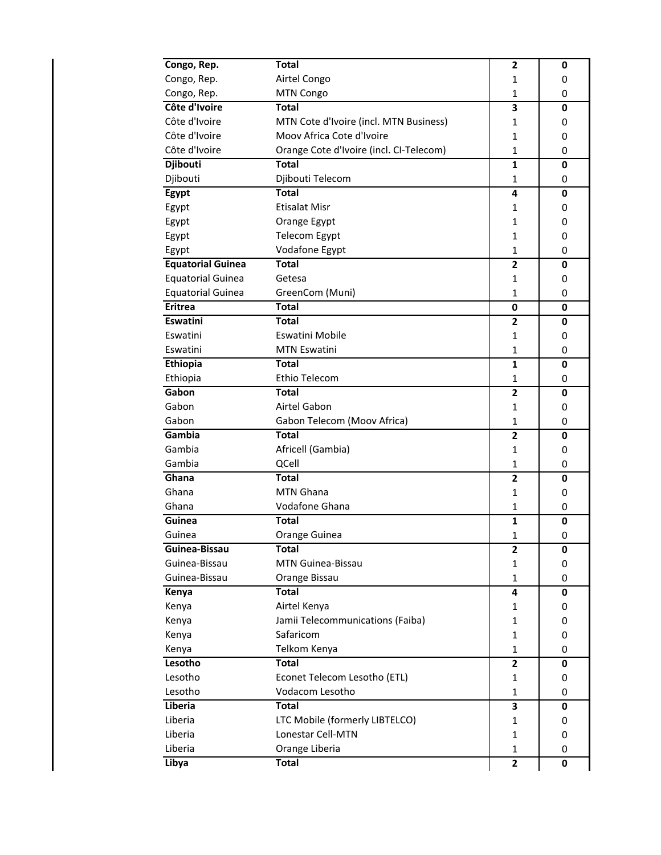| Congo, Rep.              | <b>Total</b>                            | $\mathbf{2}$   | 0 |
|--------------------------|-----------------------------------------|----------------|---|
| Congo, Rep.              | Airtel Congo                            | 1              | 0 |
| Congo, Rep.              | MTN Congo                               | 1              | 0 |
| Côte d'Ivoire            | <b>Total</b>                            | 3              | 0 |
| Côte d'Ivoire            | MTN Cote d'Ivoire (incl. MTN Business)  | 1              | 0 |
| Côte d'Ivoire            | Moov Africa Cote d'Ivoire               | 1              | 0 |
| Côte d'Ivoire            | Orange Cote d'Ivoire (incl. CI-Telecom) | 1              | 0 |
| Djibouti                 | <b>Total</b>                            | $\mathbf{1}$   | 0 |
| Djibouti                 | Djibouti Telecom                        | 1              | 0 |
| Egypt                    | <b>Total</b>                            | 4              | 0 |
| Egypt                    | <b>Etisalat Misr</b>                    | 1              | 0 |
| Egypt                    | Orange Egypt                            | 1              | 0 |
| Egypt                    | <b>Telecom Egypt</b>                    | 1              | 0 |
| Egypt                    | Vodafone Egypt                          | 1              | 0 |
| <b>Equatorial Guinea</b> | <b>Total</b>                            | $\overline{2}$ | 0 |
| <b>Equatorial Guinea</b> | Getesa                                  | 1              | 0 |
| <b>Equatorial Guinea</b> | GreenCom (Muni)                         | 1              | 0 |
| <b>Eritrea</b>           | <b>Total</b>                            | $\bf{0}$       | 0 |
| Eswatini                 | <b>Total</b>                            | 2              | 0 |
| Eswatini                 | Eswatini Mobile                         | 1              | 0 |
| Eswatini                 | <b>MTN Eswatini</b>                     | 1              | 0 |
| Ethiopia                 | Total                                   | $\mathbf{1}$   | 0 |
| Ethiopia                 | Ethio Telecom                           | 1              | 0 |
| Gabon                    | <b>Total</b>                            | $\mathbf{2}$   | 0 |
| Gabon                    | Airtel Gabon                            | 1              | 0 |
| Gabon                    | Gabon Telecom (Moov Africa)             | 1              | 0 |
| Gambia                   | <b>Total</b>                            | $\overline{2}$ | 0 |
| Gambia                   | Africell (Gambia)                       | 1              | 0 |
| Gambia                   | QCell                                   | 1              | 0 |
| Ghana                    | <b>Total</b>                            | $\overline{2}$ | 0 |
| Ghana                    | <b>MTN Ghana</b>                        | 1              | 0 |
| Ghana                    | Vodafone Ghana                          | 1              | 0 |
| Guinea                   | <b>Total</b>                            | 1              | 0 |
| Guinea                   | Orange Guinea                           | 1              | 0 |
| Guinea-Bissau            | <b>Total</b>                            | 2              | 0 |
| Guinea-Bissau            | MTN Guinea-Bissau                       | 1              | 0 |
| Guinea-Bissau            | Orange Bissau                           | 1              | 0 |
| Kenya                    | <b>Total</b>                            | 4              | 0 |
| Kenya                    | Airtel Kenya                            | 1              | 0 |
| Kenya                    | Jamii Telecommunications (Faiba)        | 1              | 0 |
| Kenya                    | Safaricom                               | 1              | 0 |
| Kenya                    | Telkom Kenya                            | 1              | 0 |
| Lesotho                  | <b>Total</b>                            | $\overline{2}$ | 0 |
| Lesotho                  | Econet Telecom Lesotho (ETL)            | $\mathbf{1}$   | 0 |
| Lesotho                  | Vodacom Lesotho                         | 1              | 0 |
| Liberia                  | <b>Total</b>                            | 3              | 0 |
| Liberia                  | LTC Mobile (formerly LIBTELCO)          | 1              | 0 |
| Liberia                  | Lonestar Cell-MTN                       | 1              | 0 |
| Liberia                  | Orange Liberia                          | 1              | 0 |
| Libya                    | <b>Total</b>                            | $\overline{2}$ | 0 |
|                          |                                         |                |   |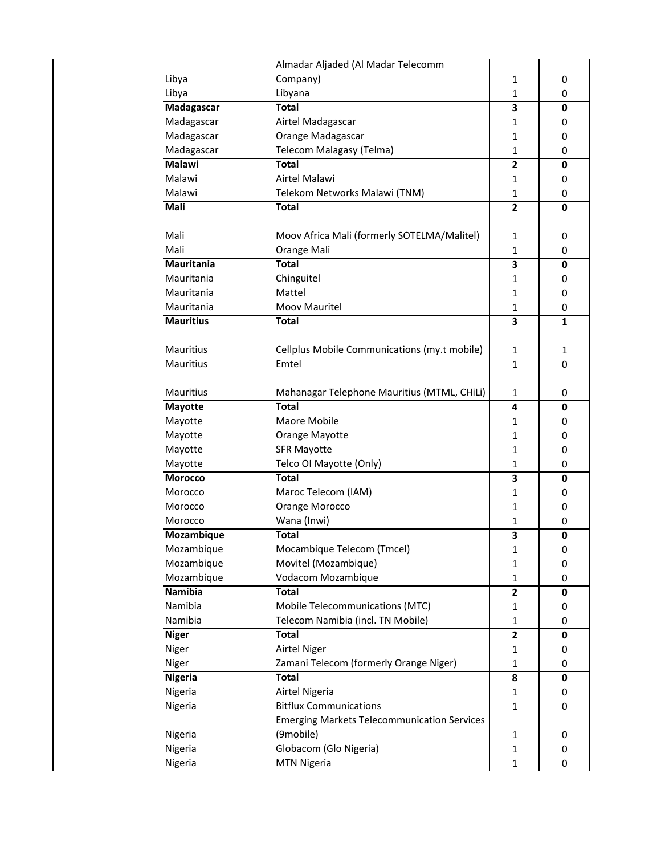|                   | Almadar Aljaded (Al Madar Telecomm                 |                         |             |
|-------------------|----------------------------------------------------|-------------------------|-------------|
| Libya             | Company)                                           | 1                       | 0           |
| Libya             | Libyana                                            | $\mathbf{1}$            | 0           |
| Madagascar        | <b>Total</b>                                       | 3                       | 0           |
| Madagascar        | Airtel Madagascar                                  | 1                       | 0           |
| Madagascar        | Orange Madagascar                                  | $\mathbf{1}$            | 0           |
| Madagascar        | Telecom Malagasy (Telma)                           | $\mathbf{1}$            | 0           |
| <b>Malawi</b>     | <b>Total</b>                                       | $\overline{2}$          | 0           |
| Malawi            | Airtel Malawi                                      | 1                       | 0           |
| Malawi            | Telekom Networks Malawi (TNM)                      | $\mathbf{1}$            | 0           |
| Mali              | <b>Total</b>                                       | $\overline{2}$          | $\mathbf 0$ |
|                   |                                                    |                         |             |
| Mali              | Moov Africa Mali (formerly SOTELMA/Malitel)        | 1                       | 0           |
| Mali              | Orange Mali                                        | 1                       | 0           |
| <b>Mauritania</b> | <b>Total</b>                                       | 3                       | 0           |
| Mauritania        | Chinguitel                                         | 1                       | 0           |
| Mauritania        | Mattel                                             | $\mathbf{1}$            | 0           |
| Mauritania        | Moov Mauritel                                      | $\mathbf{1}$            | 0           |
| <b>Mauritius</b>  | <b>Total</b>                                       | 3                       | 1           |
|                   |                                                    |                         |             |
| Mauritius         | Cellplus Mobile Communications (my.t mobile)       | 1                       | 1           |
| <b>Mauritius</b>  | Emtel                                              | $\mathbf{1}$            | 0           |
|                   |                                                    |                         |             |
| Mauritius         | Mahanagar Telephone Mauritius (MTML, CHiLi)        | 1                       | 0           |
| <b>Mayotte</b>    | <b>Total</b>                                       | 4                       | 0           |
| Mayotte           | Maore Mobile                                       | 1                       | 0           |
| Mayotte           | Orange Mayotte                                     | $\mathbf{1}$            | 0           |
| Mayotte           | <b>SFR Mayotte</b>                                 | $\mathbf{1}$            | 0           |
| Mayotte           | Telco OI Mayotte (Only)                            | 1                       | 0           |
| <b>Morocco</b>    | <b>Total</b>                                       | 3                       | 0           |
| Morocco           | Maroc Telecom (IAM)                                | 1                       | 0           |
| Morocco           | Orange Morocco                                     | $\mathbf{1}$            | 0           |
| Morocco           | Wana (Inwi)                                        | 1                       | 0           |
| Mozambique        | <b>Total</b>                                       | 3                       | $\mathbf 0$ |
| Mozambique        | Mocambique Telecom (Tmcel)                         | 1                       | 0           |
| Mozambique        | Movitel (Mozambique)                               | $\mathbf{1}$            | 0           |
| Mozambique        | Vodacom Mozambique                                 | $\mathbf{1}$            | 0           |
| Namibia           | <b>Total</b>                                       | 2                       | 0           |
| Namibia           | Mobile Telecommunications (MTC)                    | 1                       | 0           |
| Namibia           | Telecom Namibia (incl. TN Mobile)                  | $\mathbf{1}$            | 0           |
| <b>Niger</b>      | <b>Total</b>                                       | $\overline{\mathbf{c}}$ | 0           |
| Niger             | <b>Airtel Niger</b>                                | 1                       | 0           |
| Niger             | Zamani Telecom (formerly Orange Niger)             | $\mathbf{1}$            | 0           |
| <b>Nigeria</b>    | <b>Total</b>                                       | 8                       | $\mathbf 0$ |
| Nigeria           | Airtel Nigeria                                     | 1                       | 0           |
| Nigeria           | <b>Bitflux Communications</b>                      | $\mathbf{1}$            | 0           |
|                   | <b>Emerging Markets Telecommunication Services</b> |                         |             |
| Nigeria           | (9mobile)                                          | 1                       | 0           |
| Nigeria           | Globacom (Glo Nigeria)                             | 1                       | 0           |
| Nigeria           | <b>MTN Nigeria</b>                                 | $\mathbf{1}$            | 0           |
|                   |                                                    |                         |             |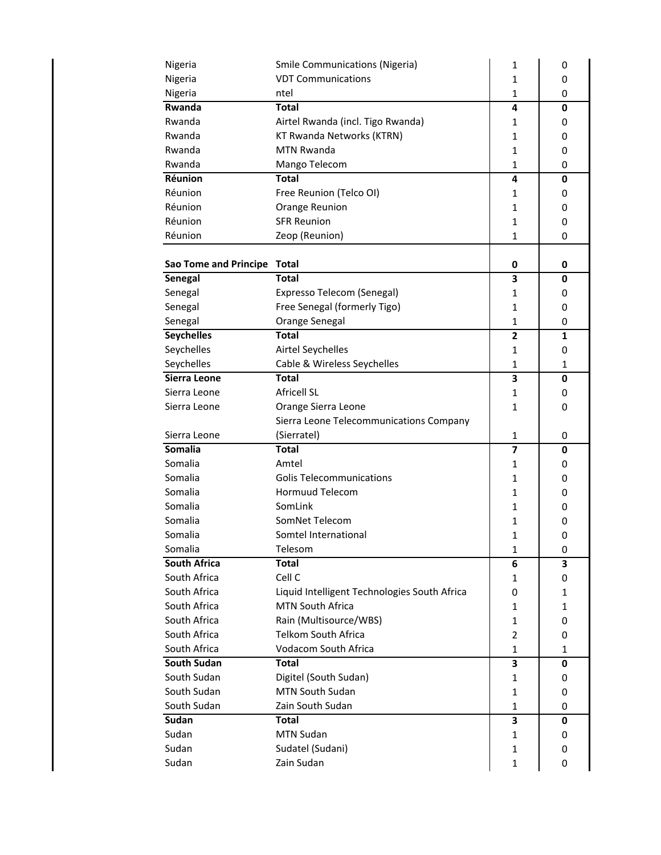| Nigeria                     | <b>Smile Communications (Nigeria)</b>        | 1              | 0           |
|-----------------------------|----------------------------------------------|----------------|-------------|
| Nigeria                     | <b>VDT Communications</b>                    | 1              | 0           |
| Nigeria                     | ntel                                         | 1              | 0           |
| Rwanda                      | Total                                        | 4              | 0           |
| Rwanda                      | Airtel Rwanda (incl. Tigo Rwanda)            | 1              | 0           |
| Rwanda                      | KT Rwanda Networks (KTRN)                    | $\mathbf{1}$   | 0           |
| Rwanda                      | <b>MTN Rwanda</b>                            | $\mathbf{1}$   | 0           |
| Rwanda                      | Mango Telecom                                | 1              | 0           |
| Réunion                     | <b>Total</b>                                 | 4              | 0           |
| Réunion                     | Free Reunion (Telco OI)                      | 1              | 0           |
| Réunion                     | Orange Reunion                               | 1              | 0           |
| Réunion                     | <b>SFR Reunion</b>                           | 1              | 0           |
| Réunion                     | Zeop (Reunion)                               | 1              | 0           |
|                             |                                              |                |             |
| Sao Tome and Principe Total |                                              | 0              | 0           |
| Senegal                     | <b>Total</b>                                 | 3              | $\mathbf 0$ |
| Senegal                     | Expresso Telecom (Senegal)                   | 1              | 0           |
| Senegal                     | Free Senegal (formerly Tigo)                 | 1              | 0           |
| Senegal                     | Orange Senegal                               | 1              | 0           |
| <b>Seychelles</b>           | Total                                        | $\overline{2}$ | 1           |
| Seychelles                  | Airtel Seychelles                            | 1              | 0           |
| Seychelles                  | Cable & Wireless Seychelles                  | 1              | 1           |
| Sierra Leone                | <b>Total</b>                                 | 3              | 0           |
| Sierra Leone                | <b>Africell SL</b>                           | 1              | 0           |
| Sierra Leone                | Orange Sierra Leone                          | 1              | 0           |
|                             | Sierra Leone Telecommunications Company      |                |             |
| Sierra Leone                | (Sierratel)                                  | 1              | 0           |
| Somalia                     | <b>Total</b>                                 | 7              | 0           |
| Somalia                     | Amtel                                        | 1              | 0           |
| Somalia                     | <b>Golis Telecommunications</b>              | 1              | 0           |
| Somalia                     | <b>Hormuud Telecom</b>                       | 1              | 0           |
| Somalia                     | SomLink                                      | 1              | 0           |
| Somalia                     | SomNet Telecom                               | 1              | 0           |
| Somalia                     | Somtel International                         | 1              | 0           |
| Somalia                     | Telesom                                      | 1              | 0           |
| South Africa                | <b>Total</b>                                 | 6              | 3           |
| South Africa                | Cell C                                       | 1              | 0           |
| South Africa                | Liquid Intelligent Technologies South Africa | 0              | 1           |
| South Africa                | MTN South Africa                             | 1              | 1           |
| South Africa                | Rain (Multisource/WBS)                       | $\mathbf{1}$   | 0           |
| South Africa                | <b>Telkom South Africa</b>                   | $\overline{2}$ | 0           |
| South Africa                | Vodacom South Africa                         | $\mathbf{1}$   | 1           |
| <b>South Sudan</b>          | <b>Total</b>                                 | 3              | 0           |
| South Sudan                 | Digitel (South Sudan)                        | 1              | 0           |
| South Sudan                 | MTN South Sudan                              | $\mathbf{1}$   | 0           |
| South Sudan                 | Zain South Sudan                             | $\mathbf 1$    | 0           |
| Sudan                       | <b>Total</b>                                 | 3              | 0           |
| Sudan                       | <b>MTN Sudan</b>                             | 1              | 0           |
| Sudan                       | Sudatel (Sudani)                             | 1              | 0           |
| Sudan                       | Zain Sudan                                   | 1              | 0           |